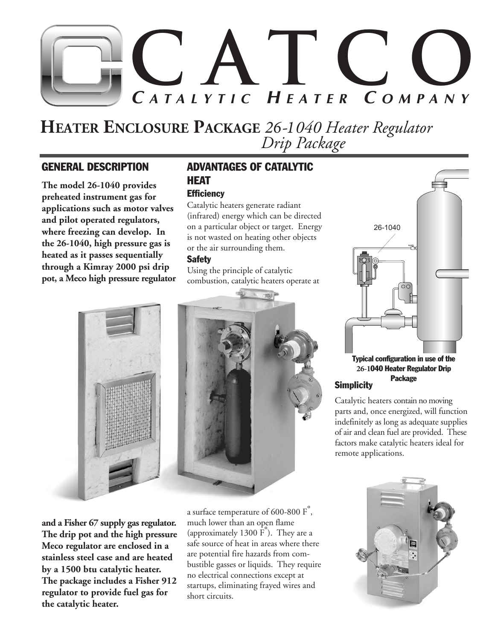# **CATCO C ATALYTIC H EATER C OMPANY**

# **HEATER ENCLOSURE PACKAGE** *26-1040 Heater Regulator Drip Package*

### GENERAL DESCRIPTION

**The model 26-1040 provides preheated instrument gas for applications such as motor valves and pilot operated regulators, where freezing can develop. In the 26-1040, high pressure gas is heated as it passes sequentially through a Kimray 2000 psi drip pot, a Meco high pressure regulator**

### ADVANTAGES OF CATALYTIC HEAT

### **Efficiency**

Catalytic heaters generate radiant (infrared) energy which can be directed on a particular object or target. Energy is not wasted on heating other objects or the air surrounding them.

### **Safety**

Using the principle of catalytic combustion, catalytic heaters operate at



**and a Fisher 67 supply gas regulator. The drip pot and the high pressure Meco regulator are enclosed in a stainless steel case and are heated by a 1500 btu catalytic heater. The package includes a Fisher 912 regulator to provide fuel gas for the catalytic heater.** 

a surface temperature of 600-800 F°, much lower than an open flame (approximately 1300 F°). They are a safe source of heat in areas where there are potential fire hazards from combustible gasses or liquids. They require no electrical connections except at startups, eliminating frayed wires and short circuits.



**Simplicity 26-1**040 Heater Regulator Drip Package

Catalytic heaters contain no moving parts and, once energized, will function indefinitely as long as adequate supplies of air and clean fuel are provided. These factors make catalytic heaters ideal for remote applications.